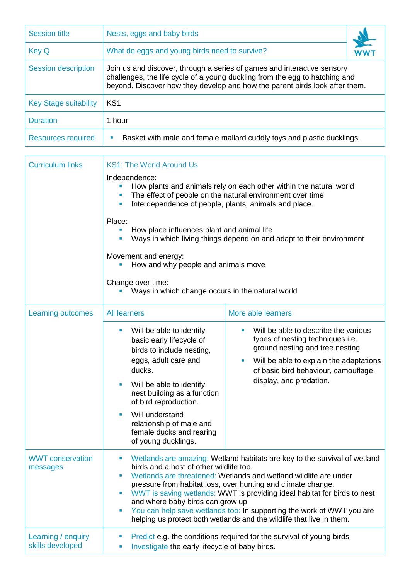| <b>Session title</b>         | Nests, eggs and baby birds                                                                                                                                                                                                            |  |
|------------------------------|---------------------------------------------------------------------------------------------------------------------------------------------------------------------------------------------------------------------------------------|--|
| <b>Key Q</b>                 | What do eggs and young birds need to survive?                                                                                                                                                                                         |  |
| <b>Session description</b>   | Join us and discover, through a series of games and interactive sensory<br>challenges, the life cycle of a young duckling from the egg to hatching and<br>beyond. Discover how they develop and how the parent birds look after them. |  |
| <b>Key Stage suitability</b> | KS <sub>1</sub>                                                                                                                                                                                                                       |  |
| <b>Duration</b>              | 1 hour                                                                                                                                                                                                                                |  |
| <b>Resources required</b>    | Basket with male and female mallard cuddly toys and plastic ducklings.                                                                                                                                                                |  |

| <b>Curriculum links</b>                | <b>KS1: The World Around Us</b>                                                                                                                                                                                                                                                                                                                    |                                                                                                                                                                                                                                                                                                                                                                                                                                                                                                                           |  |  |  |
|----------------------------------------|----------------------------------------------------------------------------------------------------------------------------------------------------------------------------------------------------------------------------------------------------------------------------------------------------------------------------------------------------|---------------------------------------------------------------------------------------------------------------------------------------------------------------------------------------------------------------------------------------------------------------------------------------------------------------------------------------------------------------------------------------------------------------------------------------------------------------------------------------------------------------------------|--|--|--|
|                                        | Independence:                                                                                                                                                                                                                                                                                                                                      | How plants and animals rely on each other within the natural world<br>The effect of people on the natural environment over time<br>Interdependence of people, plants, animals and place.                                                                                                                                                                                                                                                                                                                                  |  |  |  |
|                                        | Place:<br>How place influences plant and animal life<br>Ways in which living things depend on and adapt to their environment<br>Movement and energy:<br>How and why people and animals move<br>Change over time:<br>Ways in which change occurs in the natural world                                                                               |                                                                                                                                                                                                                                                                                                                                                                                                                                                                                                                           |  |  |  |
|                                        |                                                                                                                                                                                                                                                                                                                                                    |                                                                                                                                                                                                                                                                                                                                                                                                                                                                                                                           |  |  |  |
|                                        |                                                                                                                                                                                                                                                                                                                                                    |                                                                                                                                                                                                                                                                                                                                                                                                                                                                                                                           |  |  |  |
| <b>Learning outcomes</b>               | <b>All learners</b>                                                                                                                                                                                                                                                                                                                                | More able learners                                                                                                                                                                                                                                                                                                                                                                                                                                                                                                        |  |  |  |
|                                        | Will be able to identify<br>п<br>basic early lifecycle of<br>birds to include nesting,<br>eggs, adult care and<br>ducks.<br>Will be able to identify<br>$\blacksquare$<br>nest building as a function<br>of bird reproduction.<br>Will understand<br>$\blacksquare$<br>relationship of male and<br>female ducks and rearing<br>of young ducklings. | Will be able to describe the various<br>٠<br>types of nesting techniques i.e.<br>ground nesting and tree nesting.<br>Will be able to explain the adaptations<br>$\blacksquare$<br>of basic bird behaviour, camouflage,<br>display, and predation.                                                                                                                                                                                                                                                                         |  |  |  |
| <b>WWT</b> conservation<br>messages    | п<br>×                                                                                                                                                                                                                                                                                                                                             | Wetlands are amazing: Wetland habitats are key to the survival of wetland<br>birds and a host of other wildlife too.<br>Wetlands are threatened: Wetlands and wetland wildlife are under<br>pressure from habitat loss, over hunting and climate change.<br>WWT is saving wetlands: WWT is providing ideal habitat for birds to nest<br>and where baby birds can grow up<br>You can help save wetlands too: In supporting the work of WWT you are<br>helping us protect both wetlands and the wildlife that live in them. |  |  |  |
| Learning / enquiry<br>skills developed | Predict e.g. the conditions required for the survival of young birds.<br>п<br>Investigate the early lifecycle of baby birds.                                                                                                                                                                                                                       |                                                                                                                                                                                                                                                                                                                                                                                                                                                                                                                           |  |  |  |